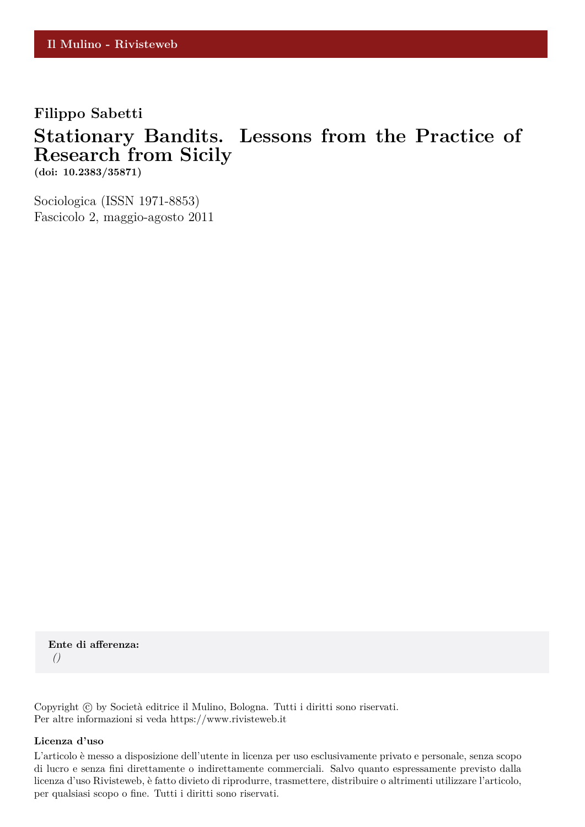### **Filippo Sabetti**

## **Stationary Bandits. Lessons from the Practice of Research from Sicily**

**(doi: 10.2383/35871)**

Sociologica (ISSN 1971-8853) Fascicolo 2, maggio-agosto 2011

**Ente di afferenza:** *()*

Copyright © by Società editrice il Mulino, Bologna. Tutti i diritti sono riservati. Per altre informazioni si veda https://www.rivisteweb.it

#### **Licenza d'uso**

L'articolo è messo a disposizione dell'utente in licenza per uso esclusivamente privato e personale, senza scopo di lucro e senza fini direttamente o indirettamente commerciali. Salvo quanto espressamente previsto dalla licenza d'uso Rivisteweb, è fatto divieto di riprodurre, trasmettere, distribuire o altrimenti utilizzare l'articolo, per qualsiasi scopo o fine. Tutti i diritti sono riservati.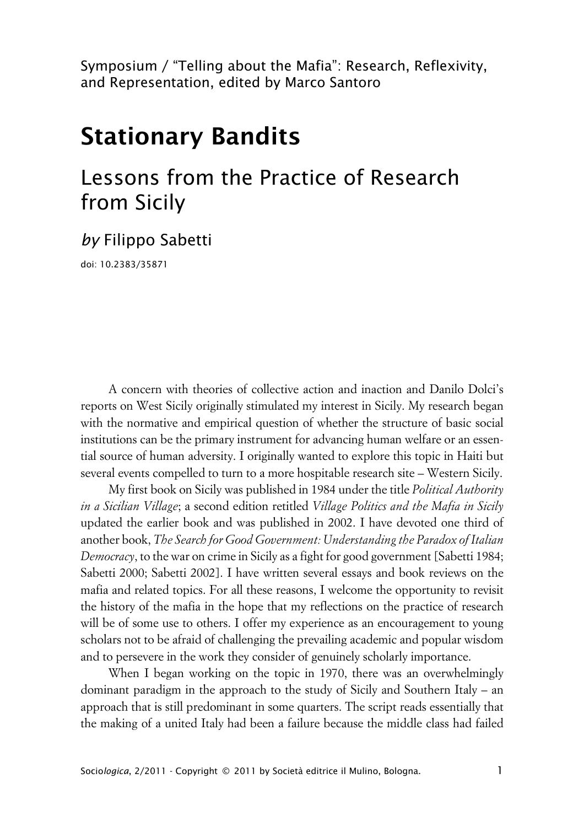Symposium / "Telling about the Mafia": Research, Reflexivity, and Representation, edited by Marco Santoro

# **Stationary Bandits**

## Lessons from the Practice of Research from Sicily

*by* Filippo Sabetti

doi: 10.2383/35871

A concern with theories of collective action and inaction and Danilo Dolci's reports on West Sicily originally stimulated my interest in Sicily. My research began with the normative and empirical question of whether the structure of basic social institutions can be the primary instrument for advancing human welfare or an essential source of human adversity. I originally wanted to explore this topic in Haiti but several events compelled to turn to a more hospitable research site – Western Sicily.

My first book on Sicily was published in 1984 under the title *Political Authority in a Sicilian Village*; a second edition retitled *Village Politics and the Mafia in Sicily* updated the earlier book and was published in 2002. I have devoted one third of another book, *The Search for Good Government: Understanding the Paradox of Italian Democracy*, to the war on crime in Sicily as a fight for good government [Sabetti 1984; Sabetti 2000; Sabetti 2002]. I have written several essays and book reviews on the mafia and related topics. For all these reasons, I welcome the opportunity to revisit the history of the mafia in the hope that my reflections on the practice of research will be of some use to others. I offer my experience as an encouragement to young scholars not to be afraid of challenging the prevailing academic and popular wisdom and to persevere in the work they consider of genuinely scholarly importance.

When I began working on the topic in 1970, there was an overwhelmingly dominant paradigm in the approach to the study of Sicily and Southern Italy – an approach that is still predominant in some quarters. The script reads essentially that the making of a united Italy had been a failure because the middle class had failed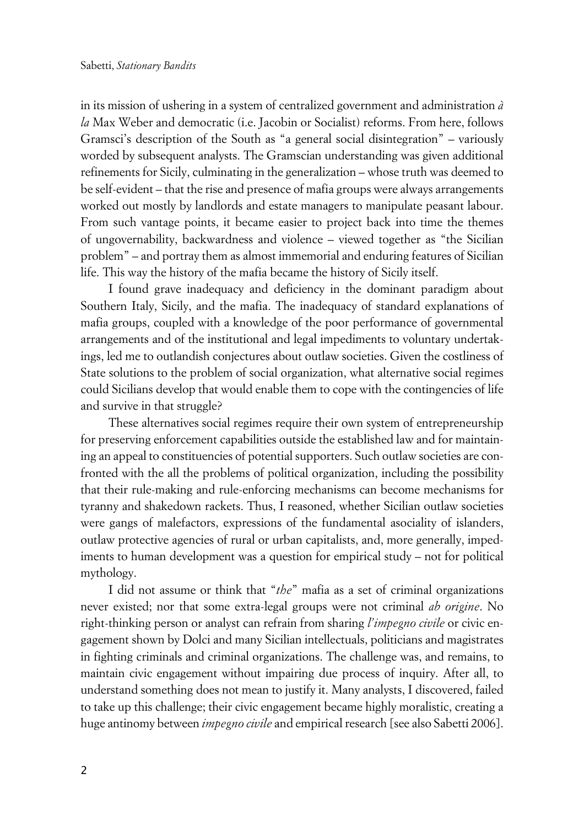in its mission of ushering in a system of centralized government and administration *à la* Max Weber and democratic (i.e. Jacobin or Socialist) reforms. From here, follows Gramsci's description of the South as "a general social disintegration" – variously worded by subsequent analysts. The Gramscian understanding was given additional refinements for Sicily, culminating in the generalization – whose truth was deemed to be self-evident – that the rise and presence of mafia groups were always arrangements worked out mostly by landlords and estate managers to manipulate peasant labour. From such vantage points, it became easier to project back into time the themes of ungovernability, backwardness and violence – viewed together as "the Sicilian problem" – and portray them as almost immemorial and enduring features of Sicilian life. This way the history of the mafia became the history of Sicily itself.

I found grave inadequacy and deficiency in the dominant paradigm about Southern Italy, Sicily, and the mafia. The inadequacy of standard explanations of mafia groups, coupled with a knowledge of the poor performance of governmental arrangements and of the institutional and legal impediments to voluntary undertakings, led me to outlandish conjectures about outlaw societies. Given the costliness of State solutions to the problem of social organization, what alternative social regimes could Sicilians develop that would enable them to cope with the contingencies of life and survive in that struggle?

These alternatives social regimes require their own system of entrepreneurship for preserving enforcement capabilities outside the established law and for maintaining an appeal to constituencies of potential supporters. Such outlaw societies are confronted with the all the problems of political organization, including the possibility that their rule-making and rule-enforcing mechanisms can become mechanisms for tyranny and shakedown rackets. Thus, I reasoned, whether Sicilian outlaw societies were gangs of malefactors, expressions of the fundamental asociality of islanders, outlaw protective agencies of rural or urban capitalists, and, more generally, impediments to human development was a question for empirical study – not for political mythology.

I did not assume or think that "*the*" mafia as a set of criminal organizations never existed; nor that some extra-legal groups were not criminal *ab origine*. No right-thinking person or analyst can refrain from sharing *l'impegno civile* or civic engagement shown by Dolci and many Sicilian intellectuals, politicians and magistrates in fighting criminals and criminal organizations. The challenge was, and remains, to maintain civic engagement without impairing due process of inquiry. After all, to understand something does not mean to justify it. Many analysts, I discovered, failed to take up this challenge; their civic engagement became highly moralistic, creating a huge antinomy between *impegno civile* and empirical research [see also Sabetti 2006].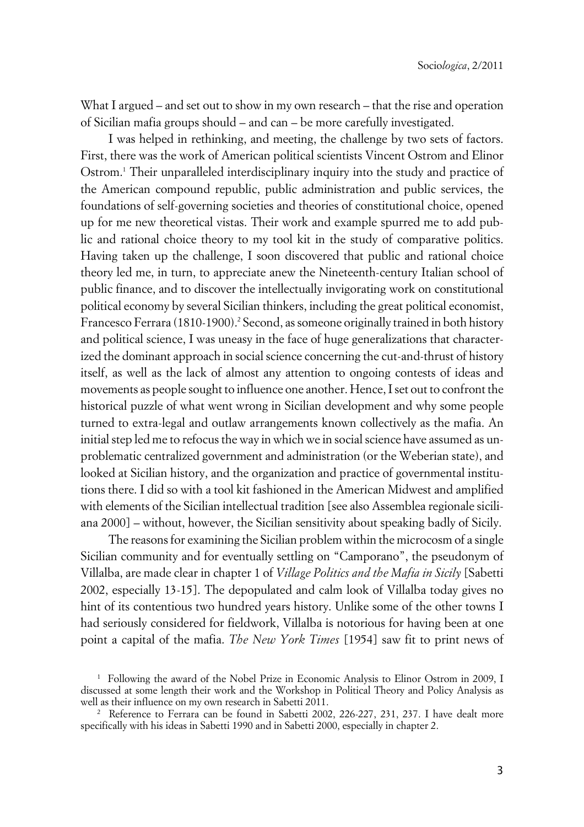What I argued – and set out to show in my own research – that the rise and operation of Sicilian mafia groups should – and can – be more carefully investigated.

I was helped in rethinking, and meeting, the challenge by two sets of factors. First, there was the work of American political scientists Vincent Ostrom and Elinor Ostrom.<sup>1</sup> Their unparalleled interdisciplinary inquiry into the study and practice of the American compound republic, public administration and public services, the foundations of self-governing societies and theories of constitutional choice, opened up for me new theoretical vistas. Their work and example spurred me to add public and rational choice theory to my tool kit in the study of comparative politics. Having taken up the challenge, I soon discovered that public and rational choice theory led me, in turn, to appreciate anew the Nineteenth-century Italian school of public finance, and to discover the intellectually invigorating work on constitutional political economy by several Sicilian thinkers, including the great political economist, Francesco Ferrara (1810-1900).<sup>2</sup> Second, as someone originally trained in both history and political science, I was uneasy in the face of huge generalizations that characterized the dominant approach in social science concerning the cut-and-thrust of history itself, as well as the lack of almost any attention to ongoing contests of ideas and movements as people sought to influence one another. Hence, I set out to confront the historical puzzle of what went wrong in Sicilian development and why some people turned to extra-legal and outlaw arrangements known collectively as the mafia. An initial step led me to refocus the way in which we in social science have assumed as unproblematic centralized government and administration (or the Weberian state), and looked at Sicilian history, and the organization and practice of governmental institutions there. I did so with a tool kit fashioned in the American Midwest and amplified with elements of the Sicilian intellectual tradition [see also Assemblea regionale siciliana 2000] – without, however, the Sicilian sensitivity about speaking badly of Sicily.

The reasons for examining the Sicilian problem within the microcosm of a single Sicilian community and for eventually settling on "Camporano", the pseudonym of Villalba, are made clear in chapter 1 of *Village Politics and the Mafia in Sicily* [Sabetti 2002, especially 13-15]. The depopulated and calm look of Villalba today gives no hint of its contentious two hundred years history. Unlike some of the other towns I had seriously considered for fieldwork, Villalba is notorious for having been at one point a capital of the mafia. *The New York Times* [1954] saw fit to print news of

<sup>1</sup> Following the award of the Nobel Prize in Economic Analysis to Elinor Ostrom in 2009, I discussed at some length their work and the Workshop in Political Theory and Policy Analysis as well as their influence on my own research in Sabetti 2011.

<sup>2</sup> Reference to Ferrara can be found in Sabetti 2002, 226-227, 231, 237. I have dealt more specifically with his ideas in Sabetti 1990 and in Sabetti 2000, especially in chapter 2.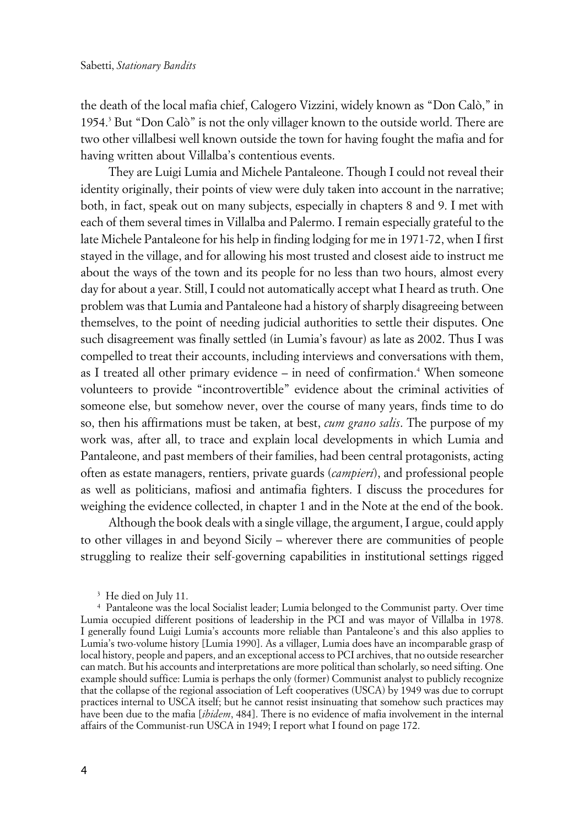the death of the local mafia chief, Calogero Vizzini, widely known as "Don Calò," in 1954.<sup>3</sup> But "Don Calò" is not the only villager known to the outside world. There are two other villalbesi well known outside the town for having fought the mafia and for having written about Villalba's contentious events.

They are Luigi Lumia and Michele Pantaleone. Though I could not reveal their identity originally, their points of view were duly taken into account in the narrative; both, in fact, speak out on many subjects, especially in chapters 8 and 9. I met with each of them several times in Villalba and Palermo. I remain especially grateful to the late Michele Pantaleone for his help in finding lodging for me in 1971-72, when I first stayed in the village, and for allowing his most trusted and closest aide to instruct me about the ways of the town and its people for no less than two hours, almost every day for about a year. Still, I could not automatically accept what I heard as truth. One problem was that Lumia and Pantaleone had a history of sharply disagreeing between themselves, to the point of needing judicial authorities to settle their disputes. One such disagreement was finally settled (in Lumia's favour) as late as 2002. Thus I was compelled to treat their accounts, including interviews and conversations with them, as I treated all other primary evidence – in need of confirmation.<sup>4</sup> When someone volunteers to provide "incontrovertible" evidence about the criminal activities of someone else, but somehow never, over the course of many years, finds time to do so, then his affirmations must be taken, at best, *cum grano salis*. The purpose of my work was, after all, to trace and explain local developments in which Lumia and Pantaleone, and past members of their families, had been central protagonists, acting often as estate managers, rentiers, private guards (*campieri*), and professional people as well as politicians, mafiosi and antimafia fighters. I discuss the procedures for weighing the evidence collected, in chapter 1 and in the Note at the end of the book.

Although the book deals with a single village, the argument, I argue, could apply to other villages in and beyond Sicily – wherever there are communities of people struggling to realize their self-governing capabilities in institutional settings rigged

3 He died on July 11.

<sup>4</sup> Pantaleone was the local Socialist leader; Lumia belonged to the Communist party. Over time Lumia occupied different positions of leadership in the PCI and was mayor of Villalba in 1978. I generally found Luigi Lumia's accounts more reliable than Pantaleone's and this also applies to Lumia's two-volume history [Lumia 1990]. As a villager, Lumia does have an incomparable grasp of local history, people and papers, and an exceptional access to PCI archives, that no outside researcher can match. But his accounts and interpretations are more political than scholarly, so need sifting. One example should suffice: Lumia is perhaps the only (former) Communist analyst to publicly recognize that the collapse of the regional association of Left cooperatives (USCA) by 1949 was due to corrupt practices internal to USCA itself; but he cannot resist insinuating that somehow such practices may have been due to the mafia [*ibidem*, 484]. There is no evidence of mafia involvement in the internal affairs of the Communist-run USCA in 1949; I report what I found on page 172.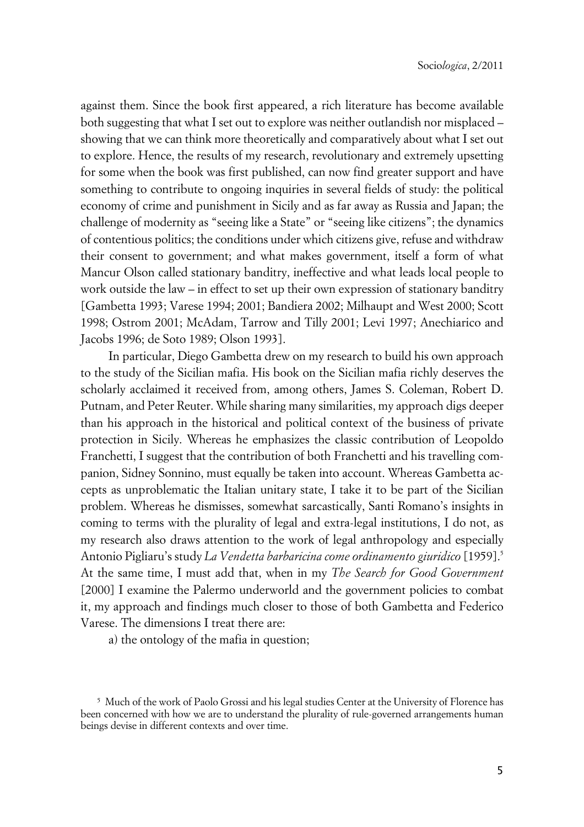against them. Since the book first appeared, a rich literature has become available both suggesting that what I set out to explore was neither outlandish nor misplaced – showing that we can think more theoretically and comparatively about what I set out to explore. Hence, the results of my research, revolutionary and extremely upsetting for some when the book was first published, can now find greater support and have something to contribute to ongoing inquiries in several fields of study: the political economy of crime and punishment in Sicily and as far away as Russia and Japan; the challenge of modernity as "seeing like a State" or "seeing like citizens"; the dynamics of contentious politics; the conditions under which citizens give, refuse and withdraw their consent to government; and what makes government, itself a form of what Mancur Olson called stationary banditry, ineffective and what leads local people to work outside the law – in effect to set up their own expression of stationary banditry [Gambetta 1993; Varese 1994; 2001; Bandiera 2002; Milhaupt and West 2000; Scott 1998; Ostrom 2001; McAdam, Tarrow and Tilly 2001; Levi 1997; Anechiarico and Jacobs 1996; de Soto 1989; Olson 1993].

In particular, Diego Gambetta drew on my research to build his own approach to the study of the Sicilian mafia. His book on the Sicilian mafia richly deserves the scholarly acclaimed it received from, among others, James S. Coleman, Robert D. Putnam, and Peter Reuter. While sharing many similarities, my approach digs deeper than his approach in the historical and political context of the business of private protection in Sicily. Whereas he emphasizes the classic contribution of Leopoldo Franchetti, I suggest that the contribution of both Franchetti and his travelling companion, Sidney Sonnino, must equally be taken into account. Whereas Gambetta accepts as unproblematic the Italian unitary state, I take it to be part of the Sicilian problem. Whereas he dismisses, somewhat sarcastically, Santi Romano's insights in coming to terms with the plurality of legal and extra-legal institutions, I do not, as my research also draws attention to the work of legal anthropology and especially Antonio Pigliaru's study *La Vendetta barbaricina come ordinamento giuridico* [1959].<sup>5</sup> At the same time, I must add that, when in my *The Search for Good Government* [2000] I examine the Palermo underworld and the government policies to combat it, my approach and findings much closer to those of both Gambetta and Federico Varese. The dimensions I treat there are:

a) the ontology of the mafia in question;

 $^{\rm 5}$  Much of the work of Paolo Grossi and his legal studies Center at the University of Florence has been concerned with how we are to understand the plurality of rule-governed arrangements human beings devise in different contexts and over time.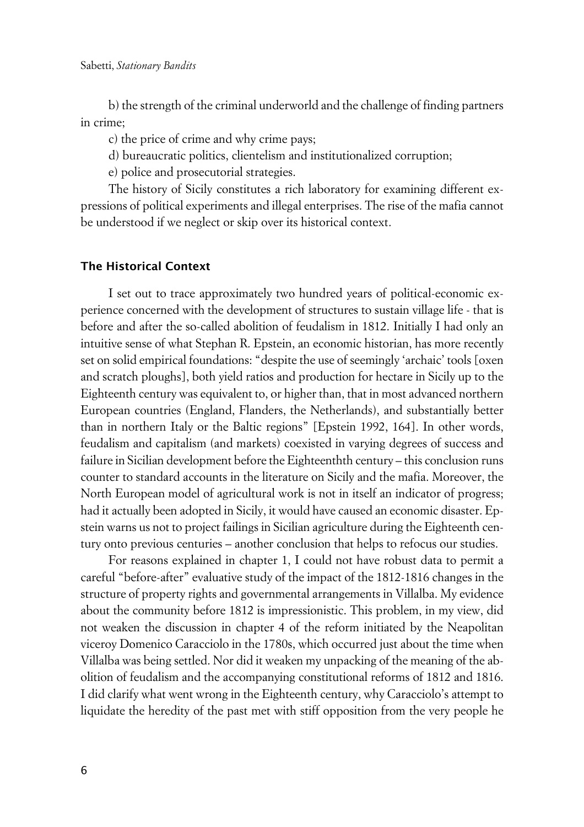b) the strength of the criminal underworld and the challenge of finding partners in crime;

c) the price of crime and why crime pays;

d) bureaucratic politics, clientelism and institutionalized corruption;

e) police and prosecutorial strategies.

The history of Sicily constitutes a rich laboratory for examining different expressions of political experiments and illegal enterprises. The rise of the mafia cannot be understood if we neglect or skip over its historical context.

#### **xThe Historical Context**

I set out to trace approximately two hundred years of political-economic experience concerned with the development of structures to sustain village life - that is before and after the so-called abolition of feudalism in 1812. Initially I had only an intuitive sense of what Stephan R. Epstein, an economic historian, has more recently set on solid empirical foundations: "despite the use of seemingly 'archaic' tools [oxen and scratch ploughs], both yield ratios and production for hectare in Sicily up to the Eighteenth century was equivalent to, or higher than, that in most advanced northern European countries (England, Flanders, the Netherlands), and substantially better than in northern Italy or the Baltic regions" [Epstein 1992, 164]. In other words, feudalism and capitalism (and markets) coexisted in varying degrees of success and failure in Sicilian development before the Eighteenthth century – this conclusion runs counter to standard accounts in the literature on Sicily and the mafia. Moreover, the North European model of agricultural work is not in itself an indicator of progress; had it actually been adopted in Sicily, it would have caused an economic disaster. Epstein warns us not to project failings in Sicilian agriculture during the Eighteenth century onto previous centuries – another conclusion that helps to refocus our studies.

For reasons explained in chapter 1, I could not have robust data to permit a careful "before-after" evaluative study of the impact of the 1812-1816 changes in the structure of property rights and governmental arrangements in Villalba. My evidence about the community before 1812 is impressionistic. This problem, in my view, did not weaken the discussion in chapter 4 of the reform initiated by the Neapolitan viceroy Domenico Caracciolo in the 1780s, which occurred just about the time when Villalba was being settled. Nor did it weaken my unpacking of the meaning of the abolition of feudalism and the accompanying constitutional reforms of 1812 and 1816. I did clarify what went wrong in the Eighteenth century, why Caracciolo's attempt to liquidate the heredity of the past met with stiff opposition from the very people he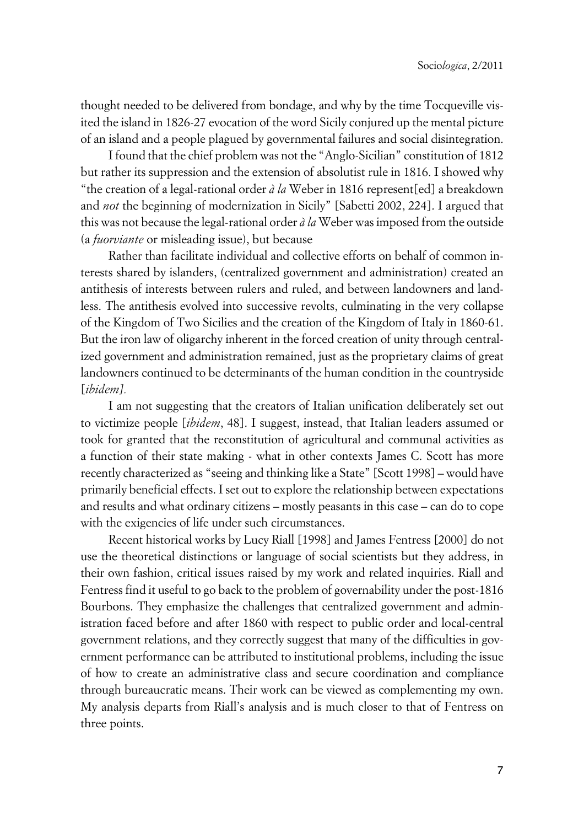thought needed to be delivered from bondage, and why by the time Tocqueville visited the island in 1826-27 evocation of the word Sicily conjured up the mental picture of an island and a people plagued by governmental failures and social disintegration.

I found that the chief problem was not the "Anglo-Sicilian" constitution of 1812 but rather its suppression and the extension of absolutist rule in 1816. I showed why "the creation of a legal-rational order *à la* Weber in 1816 represent[ed] a breakdown and *not* the beginning of modernization in Sicily" [Sabetti 2002, 224]. I argued that this was not because the legal-rational order *à la* Weber was imposed from the outside (a *fuorviante* or misleading issue), but because

Rather than facilitate individual and collective efforts on behalf of common interests shared by islanders, (centralized government and administration) created an antithesis of interests between rulers and ruled, and between landowners and landless. The antithesis evolved into successive revolts, culminating in the very collapse of the Kingdom of Two Sicilies and the creation of the Kingdom of Italy in 1860-61. But the iron law of oligarchy inherent in the forced creation of unity through centralized government and administration remained, just as the proprietary claims of great landowners continued to be determinants of the human condition in the countryside [*ibidem].*

I am not suggesting that the creators of Italian unification deliberately set out to victimize people [*ibidem*, 48]. I suggest, instead, that Italian leaders assumed or took for granted that the reconstitution of agricultural and communal activities as a function of their state making - what in other contexts James C. Scott has more recently characterized as "seeing and thinking like a State" [Scott 1998] – would have primarily beneficial effects. I set out to explore the relationship between expectations and results and what ordinary citizens – mostly peasants in this case – can do to cope with the exigencies of life under such circumstances.

Recent historical works by Lucy Riall [1998] and James Fentress [2000] do not use the theoretical distinctions or language of social scientists but they address, in their own fashion, critical issues raised by my work and related inquiries. Riall and Fentress find it useful to go back to the problem of governability under the post-1816 Bourbons. They emphasize the challenges that centralized government and administration faced before and after 1860 with respect to public order and local-central government relations, and they correctly suggest that many of the difficulties in government performance can be attributed to institutional problems, including the issue of how to create an administrative class and secure coordination and compliance through bureaucratic means. Their work can be viewed as complementing my own. My analysis departs from Riall's analysis and is much closer to that of Fentress on three points.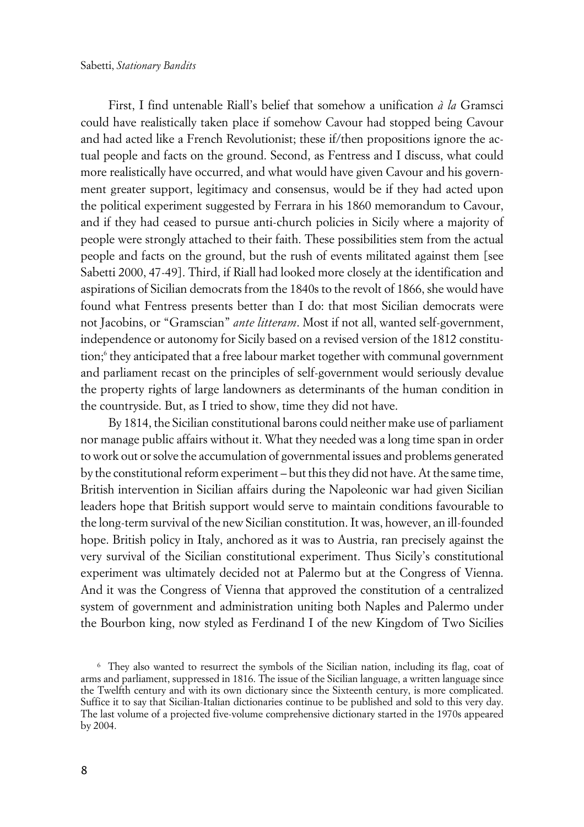First, I find untenable Riall's belief that somehow a unification *à la* Gramsci could have realistically taken place if somehow Cavour had stopped being Cavour and had acted like a French Revolutionist; these if/then propositions ignore the actual people and facts on the ground. Second, as Fentress and I discuss, what could more realistically have occurred, and what would have given Cavour and his government greater support, legitimacy and consensus, would be if they had acted upon the political experiment suggested by Ferrara in his 1860 memorandum to Cavour, and if they had ceased to pursue anti-church policies in Sicily where a majority of people were strongly attached to their faith. These possibilities stem from the actual people and facts on the ground, but the rush of events militated against them [see Sabetti 2000, 47-49]. Third, if Riall had looked more closely at the identification and aspirations of Sicilian democrats from the 1840s to the revolt of 1866, she would have found what Fentress presents better than I do: that most Sicilian democrats were not Jacobins, or "Gramscian" *ante litteram*. Most if not all, wanted self-government, independence or autonomy for Sicily based on a revised version of the 1812 constitution;<sup>6</sup> they anticipated that a free labour market together with communal government and parliament recast on the principles of self-government would seriously devalue the property rights of large landowners as determinants of the human condition in the countryside. But, as I tried to show, time they did not have.

By 1814, the Sicilian constitutional barons could neither make use of parliament nor manage public affairs without it. What they needed was a long time span in order to work out or solve the accumulation of governmental issues and problems generated by the constitutional reform experiment – but this they did not have. At the same time, British intervention in Sicilian affairs during the Napoleonic war had given Sicilian leaders hope that British support would serve to maintain conditions favourable to the long-term survival of the new Sicilian constitution. It was, however, an ill-founded hope. British policy in Italy, anchored as it was to Austria, ran precisely against the very survival of the Sicilian constitutional experiment. Thus Sicily's constitutional experiment was ultimately decided not at Palermo but at the Congress of Vienna. And it was the Congress of Vienna that approved the constitution of a centralized system of government and administration uniting both Naples and Palermo under the Bourbon king, now styled as Ferdinand I of the new Kingdom of Two Sicilies

<sup>6</sup> They also wanted to resurrect the symbols of the Sicilian nation, including its flag, coat of arms and parliament, suppressed in 1816. The issue of the Sicilian language, a written language since the Twelfth century and with its own dictionary since the Sixteenth century, is more complicated. Suffice it to say that Sicilian-Italian dictionaries continue to be published and sold to this very day. The last volume of a projected five-volume comprehensive dictionary started in the 1970s appeared by 2004.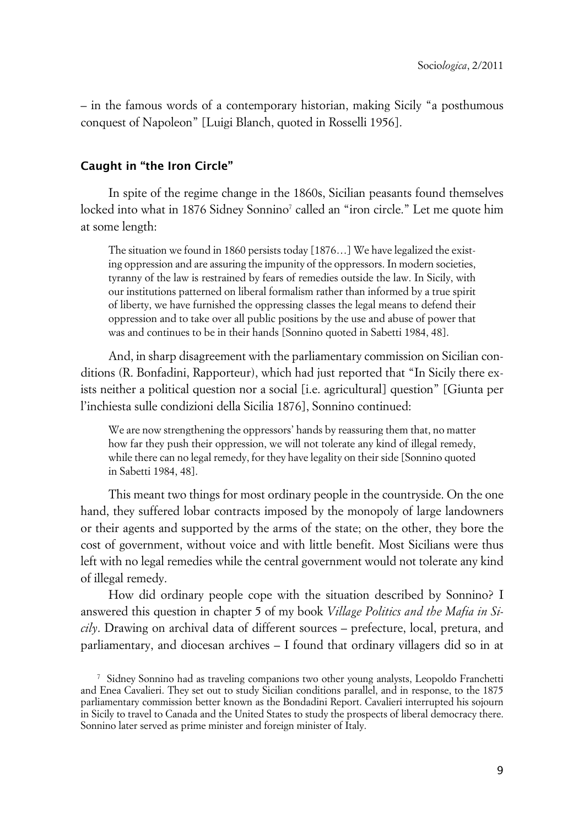– in the famous words of a contemporary historian, making Sicily "a posthumous conquest of Napoleon" [Luigi Blanch, quoted in Rosselli 1956].

#### **xCaught in "the Iron Circle"**

In spite of the regime change in the 1860s, Sicilian peasants found themselves locked into what in 1876 Sidney Sonnino<sup>7</sup> called an "iron circle." Let me quote him at some length:

The situation we found in 1860 persists today [1876…] We have legalized the existing oppression and are assuring the impunity of the oppressors. In modern societies, tyranny of the law is restrained by fears of remedies outside the law. In Sicily, with our institutions patterned on liberal formalism rather than informed by a true spirit of liberty, we have furnished the oppressing classes the legal means to defend their oppression and to take over all public positions by the use and abuse of power that was and continues to be in their hands [Sonnino quoted in Sabetti 1984, 48].

And, in sharp disagreement with the parliamentary commission on Sicilian conditions (R. Bonfadini, Rapporteur), which had just reported that "In Sicily there exists neither a political question nor a social [i.e. agricultural] question" [Giunta per l'inchiesta sulle condizioni della Sicilia 1876], Sonnino continued:

We are now strengthening the oppressors' hands by reassuring them that, no matter how far they push their oppression, we will not tolerate any kind of illegal remedy, while there can no legal remedy, for they have legality on their side [Sonnino quoted in Sabetti 1984, 48].

This meant two things for most ordinary people in the countryside. On the one hand, they suffered lobar contracts imposed by the monopoly of large landowners or their agents and supported by the arms of the state; on the other, they bore the cost of government, without voice and with little benefit. Most Sicilians were thus left with no legal remedies while the central government would not tolerate any kind of illegal remedy.

How did ordinary people cope with the situation described by Sonnino? I answered this question in chapter 5 of my book *Village Politics and the Mafia in Sicily*. Drawing on archival data of different sources – prefecture, local, pretura, and parliamentary, and diocesan archives – I found that ordinary villagers did so in at  $\ddot{\phantom{0}}$ 

<sup>7</sup> Sidney Sonnino had as traveling companions two other young analysts, Leopoldo Franchetti and Enea Cavalieri. They set out to study Sicilian conditions parallel, and in response, to the 1875 parliamentary commission better known as the Bondadini Report. Cavalieri interrupted his sojourn in Sicily to travel to Canada and the United States to study the prospects of liberal democracy there. Sonnino later served as prime minister and foreign minister of Italy.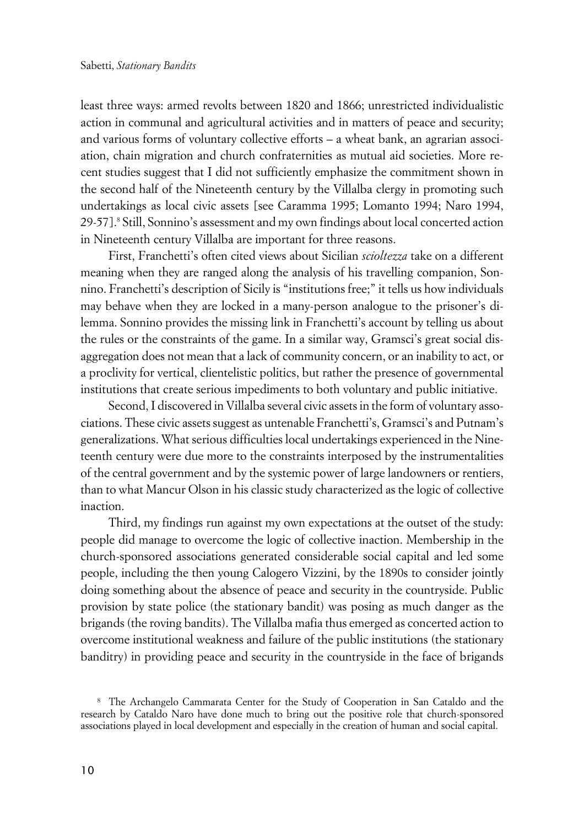least three ways: armed revolts between 1820 and 1866; unrestricted individualistic action in communal and agricultural activities and in matters of peace and security; and various forms of voluntary collective efforts – a wheat bank, an agrarian association, chain migration and church confraternities as mutual aid societies. More recent studies suggest that I did not sufficiently emphasize the commitment shown in the second half of the Nineteenth century by the Villalba clergy in promoting such undertakings as local civic assets [see Caramma 1995; Lomanto 1994; Naro 1994, 29-57].8 Still, Sonnino's assessment and my own findings about local concerted action in Nineteenth century Villalba are important for three reasons.

First, Franchetti's often cited views about Sicilian *scioltezza* take on a different meaning when they are ranged along the analysis of his travelling companion, Sonnino. Franchetti's description of Sicily is "institutions free;" it tells us how individuals may behave when they are locked in a many-person analogue to the prisoner's dilemma. Sonnino provides the missing link in Franchetti's account by telling us about the rules or the constraints of the game. In a similar way, Gramsci's great social disaggregation does not mean that a lack of community concern, or an inability to act, or a proclivity for vertical, clientelistic politics, but rather the presence of governmental institutions that create serious impediments to both voluntary and public initiative.

Second, I discovered in Villalba several civic assets in the form of voluntary associations. These civic assets suggest as untenable Franchetti's, Gramsci's and Putnam's generalizations. What serious difficulties local undertakings experienced in the Nineteenth century were due more to the constraints interposed by the instrumentalities of the central government and by the systemic power of large landowners or rentiers, than to what Mancur Olson in his classic study characterized as the logic of collective inaction.

Third, my findings run against my own expectations at the outset of the study: people did manage to overcome the logic of collective inaction. Membership in the church-sponsored associations generated considerable social capital and led some people, including the then young Calogero Vizzini, by the 1890s to consider jointly doing something about the absence of peace and security in the countryside. Public provision by state police (the stationary bandit) was posing as much danger as the brigands (the roving bandits). The Villalba mafia thus emerged as concerted action to overcome institutional weakness and failure of the public institutions (the stationary banditry) in providing peace and security in the countryside in the face of brigands

<sup>8</sup> The Archangelo Cammarata Center for the Study of Cooperation in San Cataldo and the research by Cataldo Naro have done much to bring out the positive role that church-sponsored associations played in local development and especially in the creation of human and social capital.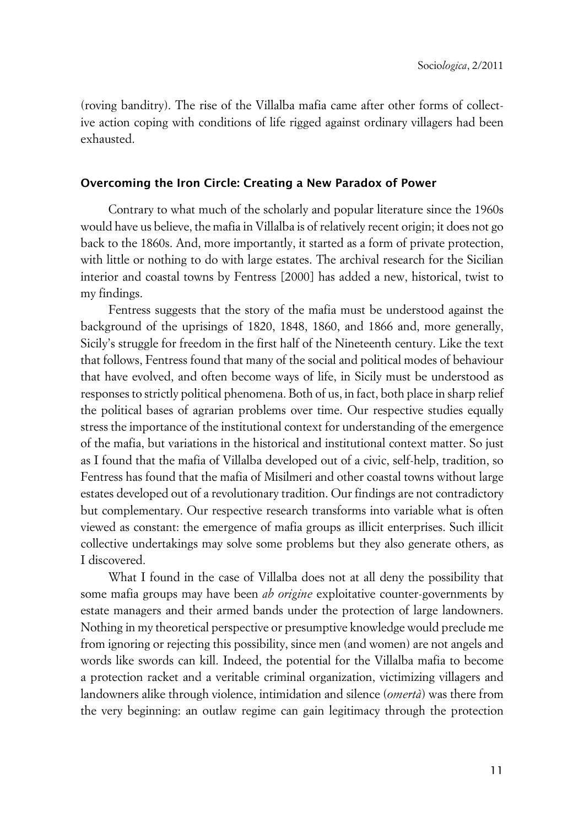(roving banditry). The rise of the Villalba mafia came after other forms of collective action coping with conditions of life rigged against ordinary villagers had been exhausted.

#### **xOvercoming the Iron Circle: Creating a New Paradox of Power**

Contrary to what much of the scholarly and popular literature since the 1960s would have us believe, the mafia in Villalba is of relatively recent origin; it does not go back to the 1860s. And, more importantly, it started as a form of private protection, with little or nothing to do with large estates. The archival research for the Sicilian interior and coastal towns by Fentress [2000] has added a new, historical, twist to my findings.

Fentress suggests that the story of the mafia must be understood against the background of the uprisings of 1820, 1848, 1860, and 1866 and, more generally, Sicily's struggle for freedom in the first half of the Nineteenth century. Like the text that follows, Fentress found that many of the social and political modes of behaviour that have evolved, and often become ways of life, in Sicily must be understood as responses to strictly political phenomena. Both of us, in fact, both place in sharp relief the political bases of agrarian problems over time. Our respective studies equally stress the importance of the institutional context for understanding of the emergence of the mafia, but variations in the historical and institutional context matter. So just as I found that the mafia of Villalba developed out of a civic, self-help, tradition, so Fentress has found that the mafia of Misilmeri and other coastal towns without large estates developed out of a revolutionary tradition. Our findings are not contradictory but complementary. Our respective research transforms into variable what is often viewed as constant: the emergence of mafia groups as illicit enterprises. Such illicit collective undertakings may solve some problems but they also generate others, as I discovered.

What I found in the case of Villalba does not at all deny the possibility that some mafia groups may have been *ab origine* exploitative counter-governments by estate managers and their armed bands under the protection of large landowners. Nothing in my theoretical perspective or presumptive knowledge would preclude me from ignoring or rejecting this possibility, since men (and women) are not angels and words like swords can kill. Indeed, the potential for the Villalba mafia to become a protection racket and a veritable criminal organization, victimizing villagers and landowners alike through violence, intimidation and silence (*omertà*) was there from the very beginning: an outlaw regime can gain legitimacy through the protection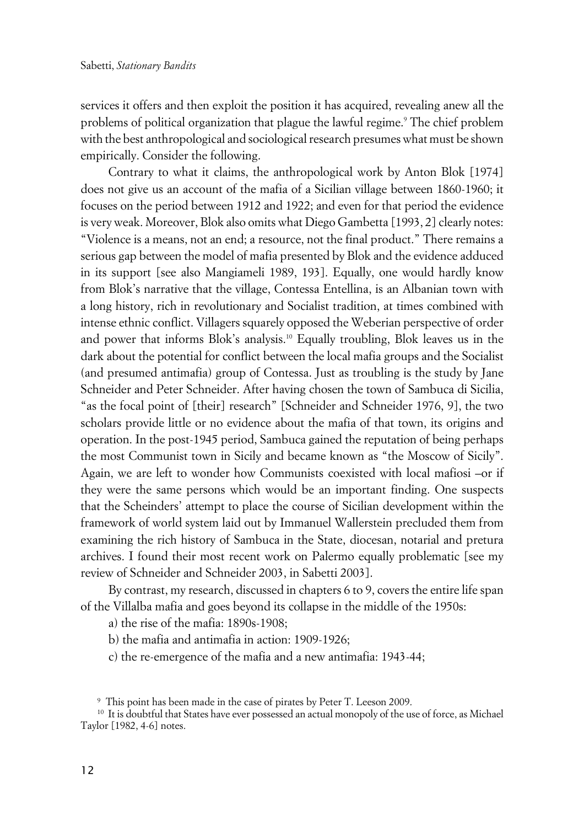services it offers and then exploit the position it has acquired, revealing anew all the problems of political organization that plague the lawful regime.<sup>9</sup> The chief problem with the best anthropological and sociological research presumes what must be shown empirically. Consider the following.

Contrary to what it claims, the anthropological work by Anton Blok [1974] does not give us an account of the mafia of a Sicilian village between 1860-1960; it focuses on the period between 1912 and 1922; and even for that period the evidence is very weak. Moreover, Blok also omits what Diego Gambetta [1993, 2] clearly notes: "Violence is a means, not an end; a resource, not the final product." There remains a serious gap between the model of mafia presented by Blok and the evidence adduced in its support [see also Mangiameli 1989, 193]. Equally, one would hardly know from Blok's narrative that the village, Contessa Entellina, is an Albanian town with a long history, rich in revolutionary and Socialist tradition, at times combined with intense ethnic conflict. Villagers squarely opposed the Weberian perspective of order and power that informs Blok's analysis.<sup>10</sup> Equally troubling, Blok leaves us in the dark about the potential for conflict between the local mafia groups and the Socialist (and presumed antimafia) group of Contessa. Just as troubling is the study by Jane Schneider and Peter Schneider. After having chosen the town of Sambuca di Sicilia, "as the focal point of [their] research" [Schneider and Schneider 1976, 9], the two scholars provide little or no evidence about the mafia of that town, its origins and operation. In the post-1945 period, Sambuca gained the reputation of being perhaps the most Communist town in Sicily and became known as "the Moscow of Sicily". Again, we are left to wonder how Communists coexisted with local mafiosi –or if they were the same persons which would be an important finding. One suspects that the Scheinders' attempt to place the course of Sicilian development within the framework of world system laid out by Immanuel Wallerstein precluded them from examining the rich history of Sambuca in the State, diocesan, notarial and pretura archives. I found their most recent work on Palermo equally problematic [see my review of Schneider and Schneider 2003, in Sabetti 2003].

By contrast, my research, discussed in chapters 6 to 9, covers the entire life span of the Villalba mafia and goes beyond its collapse in the middle of the 1950s:

a) the rise of the mafia: 1890s-1908;

b) the mafia and antimafia in action: 1909-1926;

c) the re-emergence of the mafia and a new antimafia: 1943-44;

<sup>9</sup> This point has been made in the case of pirates by Peter T. Leeson 2009.

<sup>&</sup>lt;sup>10</sup> It is doubtful that States have ever possessed an actual monopoly of the use of force, as Michael Taylor [1982, 4-6] notes.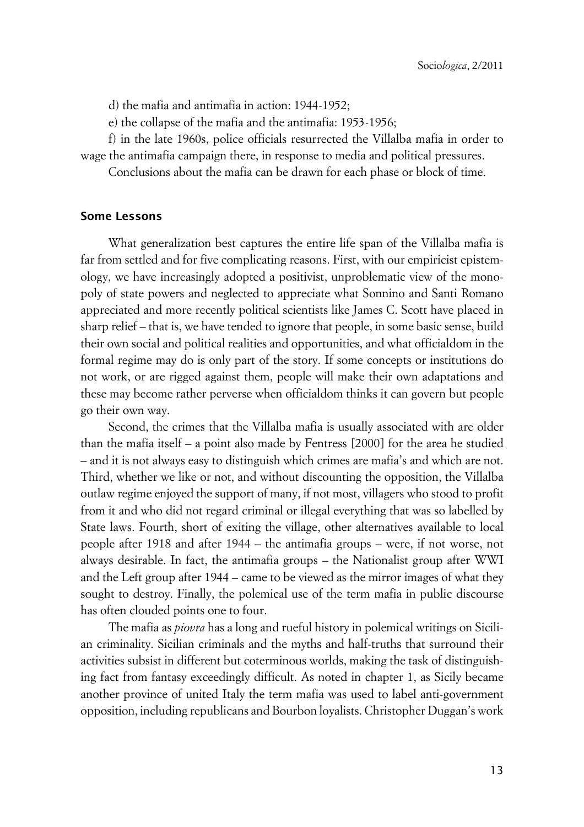d) the mafia and antimafia in action: 1944-1952;

e) the collapse of the mafia and the antimafia: 1953-1956;

f) in the late 1960s, police officials resurrected the Villalba mafia in order to wage the antimafia campaign there, in response to media and political pressures.

Conclusions about the mafia can be drawn for each phase or block of time.

#### **Some Lessons**

What generalization best captures the entire life span of the Villalba mafia is far from settled and for five complicating reasons. First, with our empiricist epistemology, we have increasingly adopted a positivist, unproblematic view of the monopoly of state powers and neglected to appreciate what Sonnino and Santi Romano appreciated and more recently political scientists like James C. Scott have placed in sharp relief – that is, we have tended to ignore that people, in some basic sense, build their own social and political realities and opportunities, and what officialdom in the formal regime may do is only part of the story. If some concepts or institutions do not work, or are rigged against them, people will make their own adaptations and these may become rather perverse when officialdom thinks it can govern but people go their own way.

Second, the crimes that the Villalba mafia is usually associated with are older than the mafia itself – a point also made by Fentress [2000] for the area he studied – and it is not always easy to distinguish which crimes are mafia's and which are not. Third, whether we like or not, and without discounting the opposition, the Villalba outlaw regime enjoyed the support of many, if not most, villagers who stood to profit from it and who did not regard criminal or illegal everything that was so labelled by State laws. Fourth, short of exiting the village, other alternatives available to local people after 1918 and after 1944 – the antimafia groups – were, if not worse, not always desirable. In fact, the antimafia groups – the Nationalist group after WWI and the Left group after 1944 – came to be viewed as the mirror images of what they sought to destroy. Finally, the polemical use of the term mafia in public discourse has often clouded points one to four.

The mafia as *piovra* has a long and rueful history in polemical writings on Sicilian criminality. Sicilian criminals and the myths and half-truths that surround their activities subsist in different but coterminous worlds, making the task of distinguishing fact from fantasy exceedingly difficult. As noted in chapter 1, as Sicily became another province of united Italy the term mafia was used to label anti-government opposition, including republicans and Bourbon loyalists. Christopher Duggan's work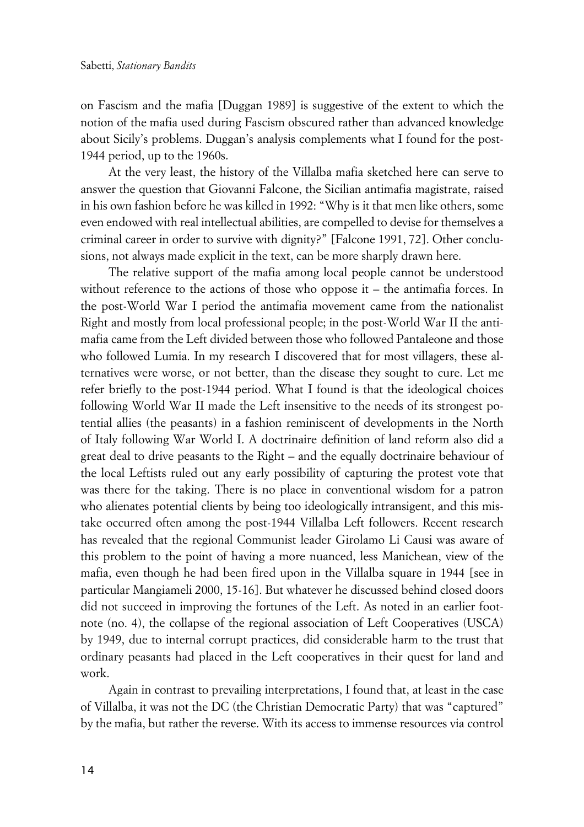on Fascism and the mafia [Duggan 1989] is suggestive of the extent to which the notion of the mafia used during Fascism obscured rather than advanced knowledge about Sicily's problems. Duggan's analysis complements what I found for the post-1944 period, up to the 1960s.

At the very least, the history of the Villalba mafia sketched here can serve to answer the question that Giovanni Falcone, the Sicilian antimafia magistrate, raised in his own fashion before he was killed in 1992: "Why is it that men like others, some even endowed with real intellectual abilities, are compelled to devise for themselves a criminal career in order to survive with dignity?" [Falcone 1991, 72]. Other conclusions, not always made explicit in the text, can be more sharply drawn here.

The relative support of the mafia among local people cannot be understood without reference to the actions of those who oppose it – the antimafia forces. In the post-World War I period the antimafia movement came from the nationalist Right and mostly from local professional people; in the post-World War II the antimafia came from the Left divided between those who followed Pantaleone and those who followed Lumia. In my research I discovered that for most villagers, these alternatives were worse, or not better, than the disease they sought to cure. Let me refer briefly to the post-1944 period. What I found is that the ideological choices following World War II made the Left insensitive to the needs of its strongest potential allies (the peasants) in a fashion reminiscent of developments in the North of Italy following War World I. A doctrinaire definition of land reform also did a great deal to drive peasants to the Right – and the equally doctrinaire behaviour of the local Leftists ruled out any early possibility of capturing the protest vote that was there for the taking. There is no place in conventional wisdom for a patron who alienates potential clients by being too ideologically intransigent, and this mistake occurred often among the post-1944 Villalba Left followers. Recent research has revealed that the regional Communist leader Girolamo Li Causi was aware of this problem to the point of having a more nuanced, less Manichean, view of the mafia, even though he had been fired upon in the Villalba square in 1944 [see in particular Mangiameli 2000, 15-16]. But whatever he discussed behind closed doors did not succeed in improving the fortunes of the Left. As noted in an earlier footnote (no. 4), the collapse of the regional association of Left Cooperatives (USCA) by 1949, due to internal corrupt practices, did considerable harm to the trust that ordinary peasants had placed in the Left cooperatives in their quest for land and work.

Again in contrast to prevailing interpretations, I found that, at least in the case of Villalba, it was not the DC (the Christian Democratic Party) that was "captured" by the mafia, but rather the reverse. With its access to immense resources via control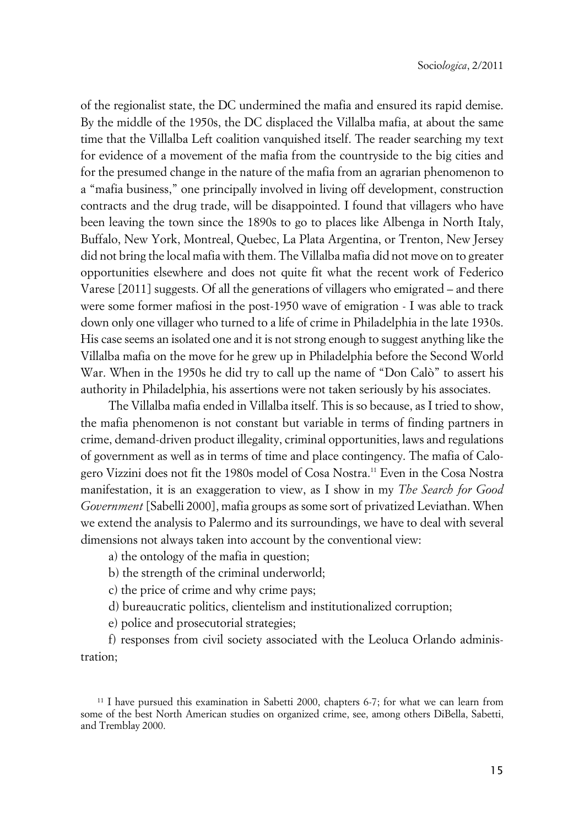of the regionalist state, the DC undermined the mafia and ensured its rapid demise. By the middle of the 1950s, the DC displaced the Villalba mafia, at about the same time that the Villalba Left coalition vanquished itself. The reader searching my text for evidence of a movement of the mafia from the countryside to the big cities and for the presumed change in the nature of the mafia from an agrarian phenomenon to a "mafia business," one principally involved in living off development, construction contracts and the drug trade, will be disappointed. I found that villagers who have been leaving the town since the 1890s to go to places like Albenga in North Italy, Buffalo, New York, Montreal, Quebec, La Plata Argentina, or Trenton, New Jersey did not bring the local mafia with them. The Villalba mafia did not move on to greater opportunities elsewhere and does not quite fit what the recent work of Federico Varese [2011] suggests. Of all the generations of villagers who emigrated – and there were some former mafiosi in the post-1950 wave of emigration - I was able to track down only one villager who turned to a life of crime in Philadelphia in the late 1930s. His case seems an isolated one and it is not strong enough to suggest anything like the Villalba mafia on the move for he grew up in Philadelphia before the Second World War. When in the 1950s he did try to call up the name of "Don Calò" to assert his authority in Philadelphia, his assertions were not taken seriously by his associates.

The Villalba mafia ended in Villalba itself. This is so because, as I tried to show, the mafia phenomenon is not constant but variable in terms of finding partners in crime, demand-driven product illegality, criminal opportunities, laws and regulations of government as well as in terms of time and place contingency. The mafia of Calogero Vizzini does not fit the 1980s model of Cosa Nostra.<sup>11</sup> Even in the Cosa Nostra manifestation, it is an exaggeration to view, as I show in my *The Search for Good Government* [Sabelli 2000], mafia groups as some sort of privatized Leviathan. When we extend the analysis to Palermo and its surroundings, we have to deal with several dimensions not always taken into account by the conventional view:

a) the ontology of the mafia in question;

b) the strength of the criminal underworld;

c) the price of crime and why crime pays;

d) bureaucratic politics, clientelism and institutionalized corruption;

e) police and prosecutorial strategies;

f) responses from civil society associated with the Leoluca Orlando administration;

<sup>&</sup>lt;sup>11</sup> I have pursued this examination in Sabetti 2000, chapters 6-7; for what we can learn from some of the best North American studies on organized crime, see, among others DiBella, Sabetti, and Tremblay 2000.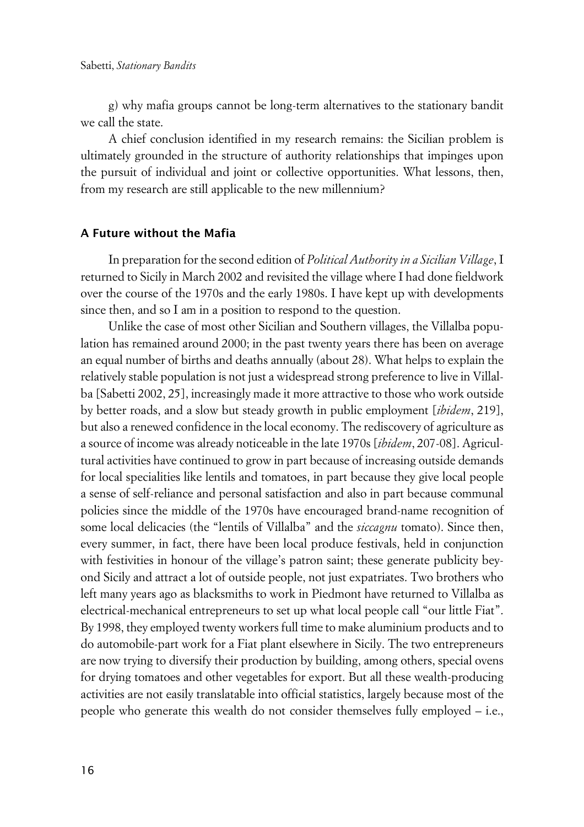g) why mafia groups cannot be long-term alternatives to the stationary bandit we call the state.

A chief conclusion identified in my research remains: the Sicilian problem is ultimately grounded in the structure of authority relationships that impinges upon the pursuit of individual and joint or collective opportunities. What lessons, then, from my research are still applicable to the new millennium?

#### **xA Future without the Mafia**

In preparation for the second edition of *Political Authority in a Sicilian Village*, I returned to Sicily in March 2002 and revisited the village where I had done fieldwork over the course of the 1970s and the early 1980s. I have kept up with developments since then, and so I am in a position to respond to the question.

Unlike the case of most other Sicilian and Southern villages, the Villalba population has remained around 2000; in the past twenty years there has been on average an equal number of births and deaths annually (about 28). What helps to explain the relatively stable population is not just a widespread strong preference to live in Villalba [Sabetti 2002, 25], increasingly made it more attractive to those who work outside by better roads, and a slow but steady growth in public employment [*ibidem*, 219], but also a renewed confidence in the local economy. The rediscovery of agriculture as a source of income was already noticeable in the late 1970s [*ibidem*, 207-08]. Agricultural activities have continued to grow in part because of increasing outside demands for local specialities like lentils and tomatoes, in part because they give local people a sense of self-reliance and personal satisfaction and also in part because communal policies since the middle of the 1970s have encouraged brand-name recognition of some local delicacies (the "lentils of Villalba" and the *siccagnu* tomato). Since then, every summer, in fact, there have been local produce festivals, held in conjunction with festivities in honour of the village's patron saint; these generate publicity beyond Sicily and attract a lot of outside people, not just expatriates. Two brothers who left many years ago as blacksmiths to work in Piedmont have returned to Villalba as electrical-mechanical entrepreneurs to set up what local people call "our little Fiat". By 1998, they employed twenty workers full time to make aluminium products and to do automobile-part work for a Fiat plant elsewhere in Sicily. The two entrepreneurs are now trying to diversify their production by building, among others, special ovens for drying tomatoes and other vegetables for export. But all these wealth-producing activities are not easily translatable into official statistics, largely because most of the people who generate this wealth do not consider themselves fully employed – i.e.,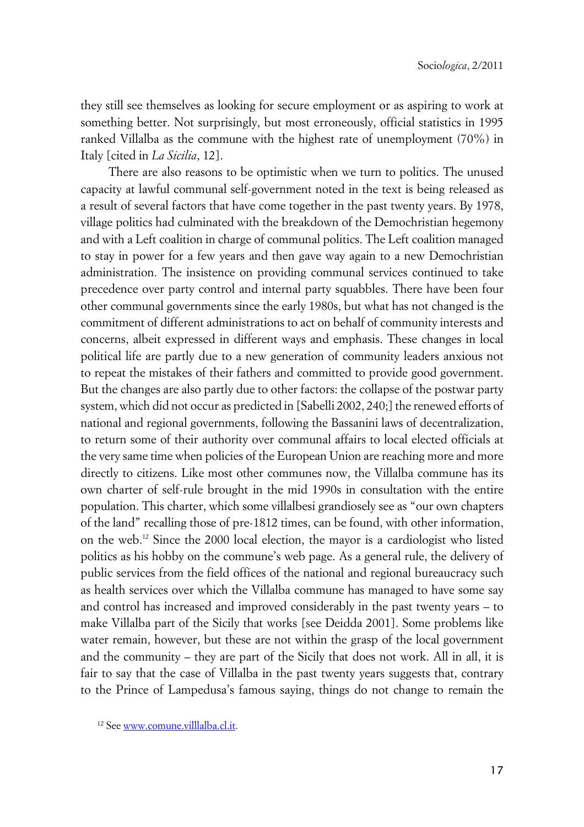they still see themselves as looking for secure employment or as aspiring to work at something better. Not surprisingly, but most erroneously, official statistics in 1995 ranked Villalba as the commune with the highest rate of unemployment (70%) in Italy [cited in *La Sicilia*, 12].

There are also reasons to be optimistic when we turn to politics. The unused capacity at lawful communal self-government noted in the text is being released as a result of several factors that have come together in the past twenty years. By 1978, village politics had culminated with the breakdown of the Demochristian hegemony and with a Left coalition in charge of communal politics. The Left coalition managed to stay in power for a few years and then gave way again to a new Demochristian administration. The insistence on providing communal services continued to take precedence over party control and internal party squabbles. There have been four other communal governments since the early 1980s, but what has not changed is the commitment of different administrations to act on behalf of community interests and concerns, albeit expressed in different ways and emphasis. These changes in local political life are partly due to a new generation of community leaders anxious not to repeat the mistakes of their fathers and committed to provide good government. But the changes are also partly due to other factors: the collapse of the postwar party system, which did not occur as predicted in [Sabelli 2002, 240;] the renewed efforts of national and regional governments, following the Bassanini laws of decentralization, to return some of their authority over communal affairs to local elected officials at the very same time when policies of the European Union are reaching more and more directly to citizens. Like most other communes now, the Villalba commune has its own charter of self-rule brought in the mid 1990s in consultation with the entire population. This charter, which some villalbesi grandiosely see as "our own chapters of the land" recalling those of pre-1812 times, can be found, with other information, on the web.<sup>12</sup> Since the 2000 local election, the mayor is a cardiologist who listed politics as his hobby on the commune's web page. As a general rule, the delivery of public services from the field offices of the national and regional bureaucracy such as health services over which the Villalba commune has managed to have some say and control has increased and improved considerably in the past twenty years – to make Villalba part of the Sicily that works [see Deidda 2001]. Some problems like water remain, however, but these are not within the grasp of the local government and the community – they are part of the Sicily that does not work. All in all, it is fair to say that the case of Villalba in the past twenty years suggests that, contrary to the Prince of Lampedusa's famous saying, things do not change to remain the

<sup>12</sup> See [www.comune.villlalba.cl.it.](http://www.comune.villlalba.cl.it/)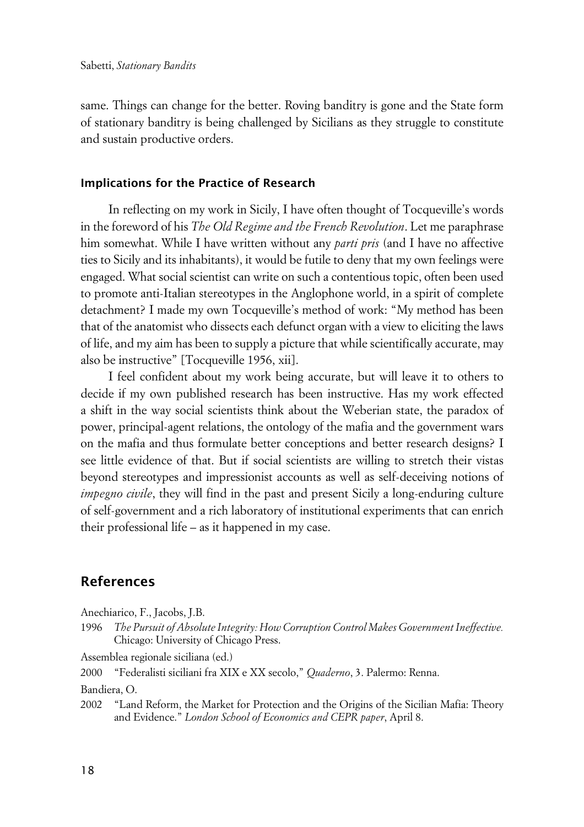same. Things can change for the better. Roving banditry is gone and the State form of stationary banditry is being challenged by Sicilians as they struggle to constitute and sustain productive orders.

#### **xImplications for the Practice of Research**

In reflecting on my work in Sicily, I have often thought of Tocqueville's words in the foreword of his *The Old Regime and the French Revolution*. Let me paraphrase him somewhat. While I have written without any *parti pris* (and I have no affective ties to Sicily and its inhabitants), it would be futile to deny that my own feelings were engaged. What social scientist can write on such a contentious topic, often been used to promote anti-Italian stereotypes in the Anglophone world, in a spirit of complete detachment? I made my own Tocqueville's method of work: "My method has been that of the anatomist who dissects each defunct organ with a view to eliciting the laws of life, and my aim has been to supply a picture that while scientifically accurate, may also be instructive" [Tocqueville 1956, xii].

I feel confident about my work being accurate, but will leave it to others to decide if my own published research has been instructive. Has my work effected a shift in the way social scientists think about the Weberian state, the paradox of power, principal-agent relations, the ontology of the mafia and the government wars on the mafia and thus formulate better conceptions and better research designs? I see little evidence of that. But if social scientists are willing to stretch their vistas beyond stereotypes and impressionist accounts as well as self-deceiving notions of *impegno civile*, they will find in the past and present Sicily a long-enduring culture of self-government and a rich laboratory of institutional experiments that can enrich their professional life – as it happened in my case.

### **References**

Anechiarico, F., Jacobs, J.B.

1996 *The Pursuit of Absolute Integrity: How Corruption Control Makes Government Ineffective.* Chicago: University of Chicago Press.

Assemblea regionale siciliana (ed.)

2000 "Federalisti siciliani fra XIX e XX secolo," *Quaderno*, 3. Palermo: Renna.

Bandiera, O.

2002 "Land Reform, the Market for Protection and the Origins of the Sicilian Mafia: Theory and Evidence." *London School of Economics and CEPR paper*, April 8.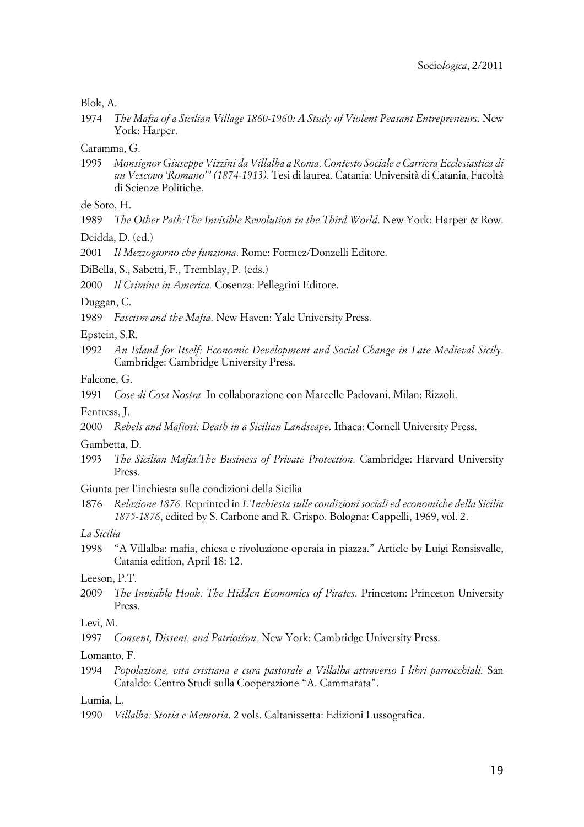#### Blok, A.

1974 *The Mafia of a Sicilian Village 1860-1960: A Study of Violent Peasant Entrepreneurs.* New York: Harper.

Caramma, G.

1995 *Monsignor Giuseppe Vizzini da Villalba a Roma. Contesto Sociale e Carriera Ecclesiastica di un Vescovo 'Romano'" (1874-1913).* Tesi di laurea. Catania: Università di Catania, Facoltà di Scienze Politiche.

de Soto, H.

1989 *The Other Path:The Invisible Revolution in the Third World*. New York: Harper & Row.

Deidda, D. (ed.)

2001 *Il Mezzogiorno che funziona*. Rome: Formez/Donzelli Editore.

DiBella, S., Sabetti, F., Tremblay, P. (eds.)

2000 *Il Crimine in America.* Cosenza: Pellegrini Editore.

Duggan, C.

1989 *Fascism and the Mafia*. New Haven: Yale University Press.

Epstein, S.R.

1992 *An Island for Itself: Economic Development and Social Change in Late Medieval Sicily*. Cambridge: Cambridge University Press.

Falcone, G.

1991 *Cose di Cosa Nostra.* In collaborazione con Marcelle Padovani. Milan: Rizzoli.

Fentress, J.

2000 *Rebels and Mafiosi: Death in a Sicilian Landscape*. Ithaca: Cornell University Press.

Gambetta, D.

1993 *The Sicilian Mafia:The Business of Private Protection.* Cambridge: Harvard University Press.

Giunta per l'inchiesta sulle condizioni della Sicilia

1876 *Relazione 1876.* Reprinted in *L'Inchiesta sulle condizioni sociali ed economiche della Sicilia 1875-1876*, edited by S. Carbone and R. Grispo. Bologna: Cappelli, 1969, vol. 2.

*La Sicilia*

1998 "A Villalba: mafia, chiesa e rivoluzione operaia in piazza." Article by Luigi Ronsisvalle, Catania edition, April 18: 12.

Leeson, P.T.

2009 *The Invisible Hook: The Hidden Economics of Pirates*. Princeton: Princeton University Press.

Levi, M.

1997 *Consent, Dissent, and Patriotism.* New York: Cambridge University Press.

Lomanto, F.

1994 *Popolazione, vita cristiana e cura pastorale a Villalba attraverso I libri parrocchiali.* San Cataldo: Centro Studi sulla Cooperazione "A. Cammarata".

Lumia, L.

1990 *Villalba: Storia e Memoria*. 2 vols. Caltanissetta: Edizioni Lussografica.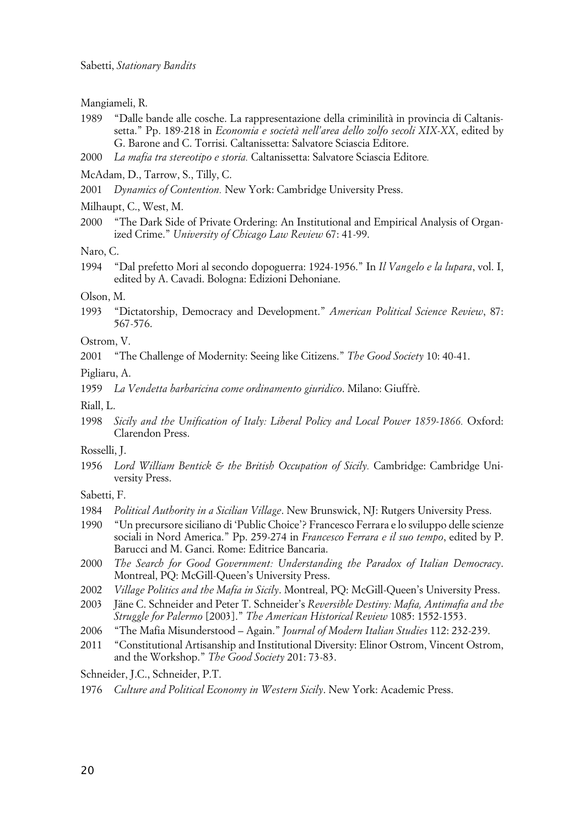Mangiameli, R.

- 1989 "Dalle bande alle cosche. La rappresentazione della criminilità in provincia di Caltanissetta." Pp. 189-218 in *Economia e società nell'area dello zolfo secoli XIX-XX*, edited by G. Barone and C. Torrisi. Caltanissetta: Salvatore Sciascia Editore.
- 2000 *La mafia tra stereotipo e storia.* Caltanissetta: Salvatore Sciascia Editore*.*

McAdam, D., Tarrow, S., Tilly, C.

2001 *Dynamics of Contention.* New York: Cambridge University Press.

Milhaupt, C., West, M.

2000 "The Dark Side of Private Ordering: An Institutional and Empirical Analysis of Organized Crime." *University of Chicago Law Review* 67: 41-99.

Naro, C.

1994 "Dal prefetto Mori al secondo dopoguerra: 1924-1956." In *Il Vangelo e la lupara*, vol. I, edited by A. Cavadi. Bologna: Edizioni Dehoniane.

Olson, M.

1993 "Dictatorship, Democracy and Development." *American Political Science Review*, 87: 567-576.

Ostrom, V.

2001 "The Challenge of Modernity: Seeing like Citizens." *The Good Society* 10: 40-41.

Pigliaru, A.

1959 *La Vendetta barbaricina come ordinamento giuridico*. Milano: Giuffrè.

Riall, L.

1998 *Sicily and the Unification of Italy: Liberal Policy and Local Power 1859-1866.* Oxford: Clarendon Press.

Rosselli, J.

1956 *Lord William Bentick & the British Occupation of Sicily.* Cambridge: Cambridge University Press.

Sabetti, F.

- 1984 *Political Authority in a Sicilian Village*. New Brunswick, NJ: Rutgers University Press.
- 1990 "Un precursore siciliano di 'Public Choice'? Francesco Ferrara e lo sviluppo delle scienze sociali in Nord America." Pp. 259-274 in *Francesco Ferrara e il suo tempo*, edited by P. Barucci and M. Ganci. Rome: Editrice Bancaria.
- 2000 *The Search for Good Government: Understanding the Paradox of Italian Democracy*. Montreal, PQ: McGill-Queen's University Press.
- 2002 *Village Politics and the Mafia in Sicily*. Montreal, PQ: McGill-Queen's University Press.
- 2003 Jäne C. Schneider and Peter T. Schneider's *Reversible Destiny: Mafia, Antimafia and the Struggle for Palermo* [2003]." *The American Historical Review* 1085: 1552-1553.
- 2006 "The Mafia Misunderstood Again." *Journal of Modern Italian Studies* 112: 232-239.
- 2011 "Constitutional Artisanship and Institutional Diversity: Elinor Ostrom, Vincent Ostrom, and the Workshop." *The Good Society* 201: 73-83.

Schneider, J.C., Schneider, P.T.

1976 *Culture and Political Economy in Western Sicily*. New York: Academic Press.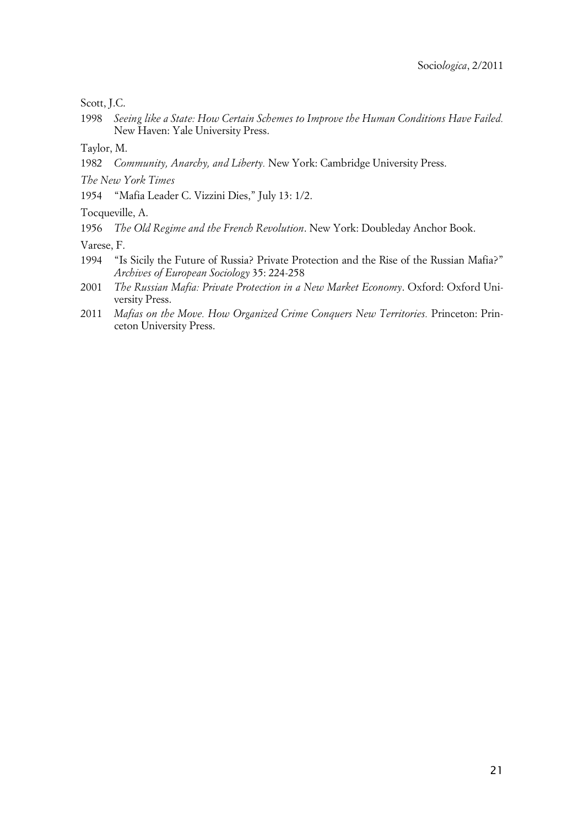Scott, J.C.

1998 *Seeing like a State: How Certain Schemes to Improve the Human Conditions Have Failed.* New Haven: Yale University Press.

Taylor, M.

1982 *Community, Anarchy, and Liberty.* New York: Cambridge University Press.

*The New York Times*

1954 "Mafia Leader C. Vizzini Dies," July 13: 1/2.

Tocqueville, A.

1956 *The Old Regime and the French Revolution*. New York: Doubleday Anchor Book.

Varese, F.

- 1994 "Is Sicily the Future of Russia? Private Protection and the Rise of the Russian Mafia?" *Archives of European Sociology* 35: 224-258
- 2001 *The Russian Mafia: Private Protection in a New Market Economy*. Oxford: Oxford University Press.
- 2011 *Mafias on the Move. How Organized Crime Conquers New Territories.* Princeton: Princeton University Press.